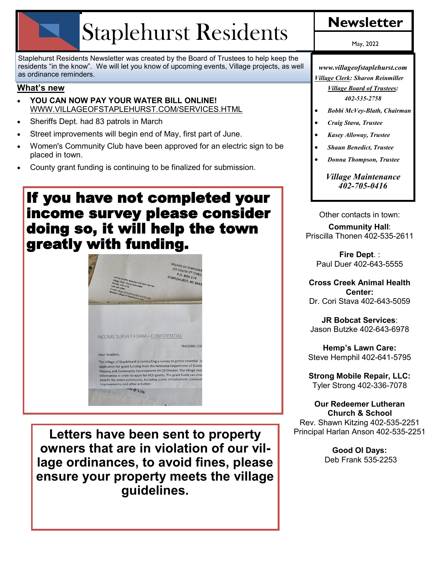# Staplehurst Residents | Newsletter

Staplehurst Residents Newsletter was created by the Board of Trustees to help keep the residents "in the know". We will let you know of upcoming events, Village projects, as well as ordinance reminders.

#### **What's new**

- **YOU CAN NOW PAY YOUR WATER BILL ONLINE!**  WWW.VILLAGEOFSTAPLEHURST.COM/SERVICES.HTML
- Sheriffs Dept. had 83 patrols in March
- Street improvements will begin end of May, first part of June.
- Women's Community Club have been approved for an electric sign to be placed in town.
- County grant funding is continuing to be finalized for submission.

## If you have not completed your income survey please consider doing so, it will help the town greatly with funding.



**Letters have been sent to property owners that are in violation of our village ordinances, to avoid fines, please ensure your property meets the village guidelines.** 

May, 2022

*www.villageofstaplehurst.com Village Clerk: Sharon Reinmiller*

> *Village Board of Trustees: 402-535-2758*

- *Bobbi McVey-Blath, Chairman*
- *Craig Stava, Trustee*
- *Kasey Alloway, Trustee*
- *Shaun Benedict, Trustee*
- *Donna Thompson, Trustee*

*Village Maintenance 402-705-0416*

Other contacts in town:

#### **Community Hall**: Priscilla Thonen 402-535-2611

**Fire Dept**. : Paul Duer 402-643-5555

**Cross Creek Animal Health Center:**  Dr. Cori Stava 402-643-5059

**JR Bobcat Services**: Jason Butzke 402-643-6978

**Hemp's Lawn Care:** Steve Hemphil 402-641-5795

**Strong Mobile Repair, LLC:** Tyler Strong 402-336-7078

**Our Redeemer Lutheran Church & School** Rev. Shawn Kitzing 402-535-2251 Principal Harlan Anson 402-535-2251

> **Good Ol Days:** Deb Frank 535-2253